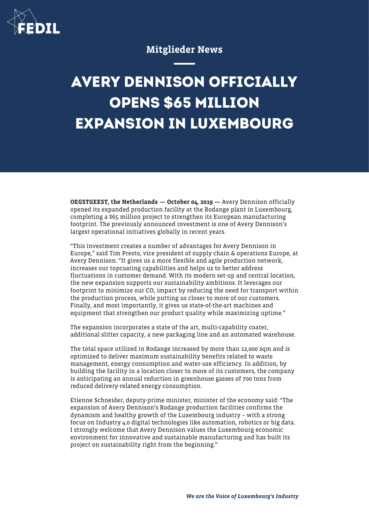

## Mitglieder News

## **AVERY DENNISON OFFICIALLY OPENS \$65 MILLION EXPANSION IN LUXEMBOURG**

OEGSTGEEST, the Netherlands - October 04, 2019 - Avery Dennison officially opened its expanded production facility at the Rodange plant in Luxembourg, completing a \$65 million project to strengthen its European manufacturing footprint. The previously announced investment is one of Avery Dennison's largest operational initiatives globally in recent years.

"This investment creates a number of advantages for Avery Dennison in Europe," said Tim Presto, vice president of supply chain & operations Europe, at Avery Dennison. "It gives us a more flexible and agile production network, increases our topcoating capabilities and helps us to better address fluctuations in customer demand. With its modern set-up and central location, the new expansion supports our sustainability ambitions. It leverages our footprint to minimize our CO $_{\textrm{\tiny{2}}}$  impact by reducing the need for transport within the production process, while putting us closer to more of our customers. Finally, and most importantly, it gives us state-of-the-art machines and equipment that strengthen our product quality while maximizing uptime."

The expansion incorporates a state of the art, multi-capability coater, additional slitter capacity, a new packaging line and an automated warehouse.

The total space utilized in Rodange increased by more than 12,000 sqm and is optimized to deliver maximum sustainability benefits related to waste management, energy consumption and water-use efficiency. In addition, by building the facility in a location closer to more of its customers, the company is anticipating an annual reduction in greenhouse gasses of 700 tons from reduced delivery-related energy consumption.

Etienne Schneider, deputy-prime minister, minister of the economy said: "The expansion of Avery Dennison's Rodange production facilities confirms the dynamism and healthy growth of the Luxembourg industry – with a strong focus on Industry 4.0 digital technologies like automation, robotics or big data. I strongly welcome that Avery Dennison values the Luxembourg economic environment for innovative and sustainable manufacturing and has built its project on sustainability right from the beginning."